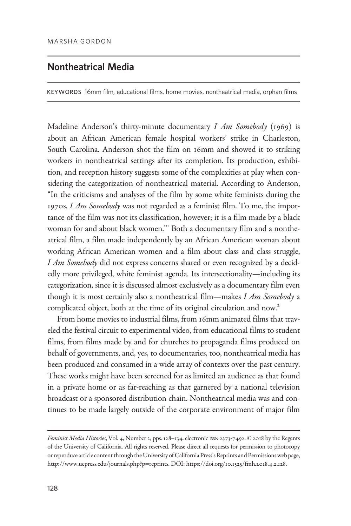## Nontheatrical Media

KEYWORDS 16mm film, educational films, home movies, nontheatrical media, orphan films

Madeline Anderson's thirty-minute documentary  $I$  Am Somebody (1969) is about an African American female hospital workers' strike in Charleston, South Carolina. Anderson shot the film on 16mm and showed it to striking workers in nontheatrical settings after its completion. Its production, exhibition, and reception history suggests some of the complexities at play when considering the categorization of nontheatrical material. According to Anderson, "In the criticisms and analyses of the film by some white feminists during the 1970s, I Am Somebody was not regarded as a feminist film. To me, the importance of the film was not its classification, however; it is a film made by a black woman for and about black women." Both a documentary film and a nontheatrical film, a film made independently by an African American woman about working African American women and a film about class and class struggle, I Am Somebody did not express concerns shared or even recognized by a decidedly more privileged, white feminist agenda. Its intersectionality—including its categorization, since it is discussed almost exclusively as a documentary film even though it is most certainly also a nontheatrical film—makes I Am Somebody a complicated object, both at the time of its original circulation and now.

From home movies to industrial films, from 16mm animated films that traveled the festival circuit to experimental video, from educational films to student films, from films made by and for churches to propaganda films produced on behalf of governments, and, yes, to documentaries, too, nontheatrical media has been produced and consumed in a wide array of contexts over the past century. These works might have been screened for as limited an audience as that found in a private home or as far-reaching as that garnered by a national television broadcast or a sponsored distribution chain. Nontheatrical media was and continues to be made largely outside of the corporate environment of major film

Feminist Media Histories, Vol. 4, Number 2, pps. 128-134. electronic ISSN 2373-7492. © 2018 by the Regents of the University of California. All rights reserved. Please direct all requests for permission to photocopy or reproduce article content through the University of California Press's Reprints and Permissions web page, <http://www.ucpress.edu/journals.php?p=reprints>. DOI: [https://doi.org/](https://doi.org/10.1525/fmh.2018.4.2.128)10.1525/fmh.2018.4.2.128.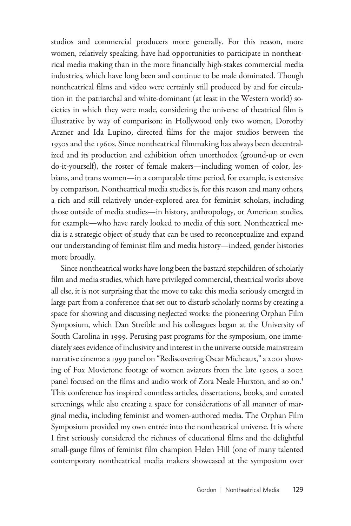studios and commercial producers more generally. For this reason, more women, relatively speaking, have had opportunities to participate in nontheatrical media making than in the more financially high-stakes commercial media industries, which have long been and continue to be male dominated. Though nontheatrical films and video were certainly still produced by and for circulation in the patriarchal and white-dominant (at least in the Western world) societies in which they were made, considering the universe of theatrical film is illustrative by way of comparison: in Hollywood only two women, Dorothy Arzner and Ida Lupino, directed films for the major studios between the 1930s and the 1960s. Since nontheatrical filmmaking has always been decentralized and its production and exhibition often unorthodox (ground-up or even do-it-yourself), the roster of female makers—including women of color, lesbians, and trans women—in a comparable time period, for example, is extensive by comparison. Nontheatrical media studies is, for this reason and many others, a rich and still relatively under-explored area for feminist scholars, including those outside of media studies—in history, anthropology, or American studies, for example—who have rarely looked to media of this sort. Nontheatrical media is a strategic object of study that can be used to reconceptualize and expand our understanding of feminist film and media history—indeed, gender histories more broadly.

Since nontheatrical works have long been the bastard stepchildren of scholarly film and media studies, which have privileged commercial, theatrical works above all else, it is not surprising that the move to take this media seriously emerged in large part from a conference that set out to disturb scholarly norms by creating a space for showing and discussing neglected works: the pioneering Orphan Film Symposium, which Dan Streible and his colleagues began at the University of South Carolina in 1999. Perusing past programs for the symposium, one immediately sees evidence of inclusivity and interest in the universe outside mainstream narrative cinema: a 1999 panel on "Rediscovering Oscar Micheaux," a 2001 showing of Fox Movietone footage of women aviators from the late 1920s, a 2002 panel focused on the films and audio work of Zora Neale Hurston, and so on. This conference has inspired countless articles, dissertations, books, and curated screenings, while also creating a space for considerations of all manner of marginal media, including feminist and women-authored media. The Orphan Film Symposium provided my own entrée into the nontheatrical universe. It is where I first seriously considered the richness of educational films and the delightful small-gauge films of feminist film champion Helen Hill (one of many talented contemporary nontheatrical media makers showcased at the symposium over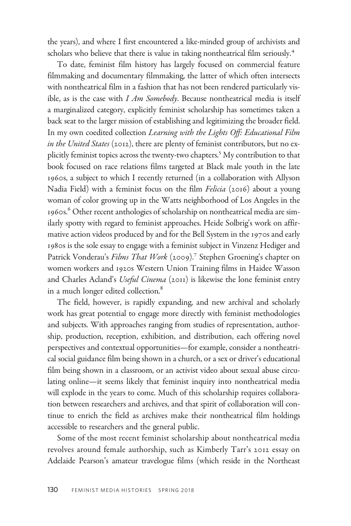the years), and where I first encountered a like-minded group of archivists and scholars who believe that there is value in taking nontheatrical film seriously.

To date, feminist film history has largely focused on commercial feature filmmaking and documentary filmmaking, the latter of which often intersects with nontheatrical film in a fashion that has not been rendered particularly visible, as is the case with  $I$  Am Somebody. Because nontheatrical media is itself a marginalized category, explicitly feminist scholarship has sometimes taken a back seat to the larger mission of establishing and legitimizing the broader field. In my own coedited collection Learning with the Lights Off: Educational Film in the United States ( $2012$ ), there are plenty of feminist contributors, but no explicitly feminist topics across the twenty-two chapters. My contribution to that book focused on race relations films targeted at Black male youth in the late 1960s, a subject to which I recently returned (in a collaboration with Allyson Nadia Field) with a feminist focus on the film *Felicia* (2016) about a young woman of color growing up in the Watts neighborhood of Los Angeles in the 1960s.<sup>6</sup> Other recent anthologies of scholarship on nontheatrical media are similarly spotty with regard to feminist approaches. Heide Solbrig's work on affirmative action videos produced by and for the Bell System in the 1970s and early 1980s is the sole essay to engage with a feminist subject in Vinzenz Hediger and Patrick Vonderau's Films That Work (2009).<sup>7</sup> Stephen Groening's chapter on women workers and 1920s Western Union Training films in Haidee Wasson and Charles Acland's Useful Cinema (2011) is likewise the lone feminist entry in a much longer edited collection.

The field, however, is rapidly expanding, and new archival and scholarly work has great potential to engage more directly with feminist methodologies and subjects. With approaches ranging from studies of representation, authorship, production, reception, exhibition, and distribution, each offering novel perspectives and contextual opportunities—for example, consider a nontheatrical social guidance film being shown in a church, or a sex or driver's educational film being shown in a classroom, or an activist video about sexual abuse circulating online—it seems likely that feminist inquiry into nontheatrical media will explode in the years to come. Much of this scholarship requires collaboration between researchers and archives, and that spirit of collaboration will continue to enrich the field as archives make their nontheatrical film holdings accessible to researchers and the general public.

Some of the most recent feminist scholarship about nontheatrical media revolves around female authorship, such as Kimberly Tarr's 2012 essay on Adelaide Pearson's amateur travelogue films (which reside in the Northeast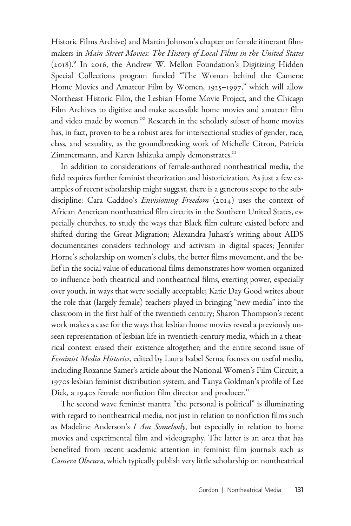Historic Films Archive) and Martin Johnson's chapter on female itinerant filmmakers in Main Street Movies: The History of Local Films in the United States  $(2018)$ . In 2016, the Andrew W. Mellon Foundation's Digitizing Hidden Special Collections program funded "The Woman behind the Camera: Home Movies and Amateur Film by Women,  $1925-1997$ ," which will allow Northeast Historic Film, the Lesbian Home Movie Project, and the Chicago Film Archives to digitize and make accessible home movies and amateur film and video made by women.<sup>10</sup> Research in the scholarly subset of home movies has, in fact, proven to be a robust area for intersectional studies of gender, race, class, and sexuality, as the groundbreaking work of Michelle Citron, Patricia Zimmermann, and Karen Ishizuka amply demonstrates.<sup>11</sup>

In addition to considerations of female-authored nontheatrical media, the field requires further feminist theorization and historicization. As just a few examples of recent scholarship might suggest, there is a generous scope to the subdiscipline: Cara Caddoo's *Envisioning Freedom*  $(zo14)$  uses the context of African American nontheatrical film circuits in the Southern United States, especially churches, to study the ways that Black film culture existed before and shifted during the Great Migration; Alexandra Juhasz's writing about AIDS documentaries considers technology and activism in digital spaces; Jennifer Horne's scholarship on women's clubs, the better films movement, and the belief in the social value of educational films demonstrates how women organized to influence both theatrical and nontheatrical films, exerting power, especially over youth, in ways that were socially acceptable; Katie Day Good writes about the role that (largely female) teachers played in bringing "new media" into the classroom in the first half of the twentieth century; Sharon Thompson's recent work makes a case for the ways that lesbian home movies reveal a previously unseen representation of lesbian life in twentieth-century media, which in a theatrical context erased their existence altogether; and the entire second issue of Feminist Media Histories, edited by Laura Isabel Serna, focuses on useful media, including Roxanne Samer's article about the National Women's Film Circuit, a 1970s lesbian feminist distribution system, and Tanya Goldman's profile of Lee Dick, a 1940s female nonfiction film director and producer.<sup>12</sup>

The second wave feminist mantra "the personal is political" is illuminating with regard to nontheatrical media, not just in relation to nonfiction films such as Madeline Anderson's I Am Somebody, but especially in relation to home movies and experimental film and videography. The latter is an area that has benefited from recent academic attention in feminist film journals such as Camera Obscura, which typically publish very little scholarship on nontheatrical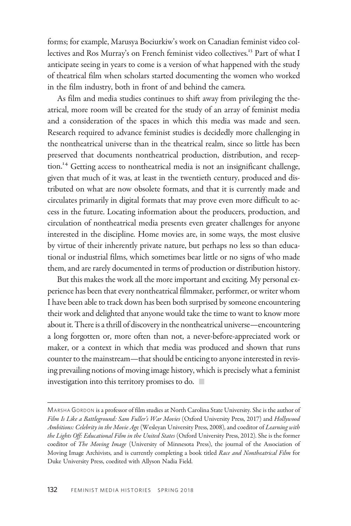forms; for example, Marusya Bociurkiw's work on Canadian feminist video collectives and Ros Murray's on French feminist video collectives.<sup>13</sup> Part of what I anticipate seeing in years to come is a version of what happened with the study of theatrical film when scholars started documenting the women who worked in the film industry, both in front of and behind the camera.

As film and media studies continues to shift away from privileging the theatrical, more room will be created for the study of an array of feminist media and a consideration of the spaces in which this media was made and seen. Research required to advance feminist studies is decidedly more challenging in the nontheatrical universe than in the theatrical realm, since so little has been preserved that documents nontheatrical production, distribution, and reception.<sup>14</sup> Getting access to nontheatrical media is not an insignificant challenge, given that much of it was, at least in the twentieth century, produced and distributed on what are now obsolete formats, and that it is currently made and circulates primarily in digital formats that may prove even more difficult to access in the future. Locating information about the producers, production, and circulation of nontheatrical media presents even greater challenges for anyone interested in the discipline. Home movies are, in some ways, the most elusive by virtue of their inherently private nature, but perhaps no less so than educational or industrial films, which sometimes bear little or no signs of who made them, and are rarely documented in terms of production or distribution history.

But this makes the work all the more important and exciting. My personal experience has been that every nontheatrical filmmaker, performer, or writer whom I have been able to track down has been both surprised by someone encountering their work and delighted that anyone would take the time to want to know more about it. There is a thrill of discovery in the nontheatrical universe—encountering a long forgotten or, more often than not, a never-before-appreciated work or maker, or a context in which that media was produced and shown that runs counter to the mainstream—that should be enticing to anyone interested in revising prevailing notions of moving image history, which is precisely what a feminist investigation into this territory promises to do.

MARSHA GORDON is a professor of film studies at North Carolina State University. She is the author of Film Is Like a Battleground: Sam Fuller's War Movies (Oxford University Press, 2017) and Hollywood Ambitions: Celebrity in the Movie Age (Wesleyan University Press, 2008), and coeditor of Learning with the Lights Off: Educational Film in the United States (Oxford University Press, 2012). She is the former coeditor of The Moving Image (University of Minnesota Press), the journal of the Association of Moving Image Archivists, and is currently completing a book titled Race and Nontheatrical Film for Duke University Press, coedited with Allyson Nadia Field.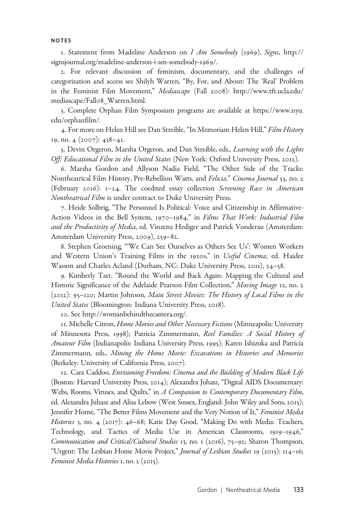## NOTES

1. Statement from Madeline Anderson on I Am Somebody (1969), Signs, [http://](http://signsjournal.org/madeline-anderson-i-am-somebody-1969/) [signsjournal.org/madeline-anderson-i-am-somebody-](http://signsjournal.org/madeline-anderson-i-am-somebody-1969/)1969/.

. For relevant discussion of feminism, documentary, and the challenges of categorization and access see Shilyh Warren, "By, For, and About: The 'Real' Problem in the Feminist Film Movement," Mediascape (Fall 2008): [http://www.tft.ucla.edu/](http://www.tft.ucla.edu/mediascape/Fall08_Warren.html) [mediascape/Fall](http://www.tft.ucla.edu/mediascape/Fall08_Warren.html)\_Warren.html.

. Complete Orphan Film Symposium programs are available at [https://www.nyu.](https://www.nyu.edu/orphanfilm/) [edu/orphanfilm/](https://www.nyu.edu/orphanfilm/).

4. For more on Helen Hill see Dan Streible, "In Memoriam Helen Hill," Film History 19, no. 4 (2007):  $438-41$ .

5. Devin Orgeron, Marsha Orgeron, and Dan Streible, eds., Learning with the Lights Off: Educational Film in the United States (New York: Oxford University Press, 2012).

. Marsha Gordon and Allyson Nadia Field, "The Other Side of the Tracks: Nontheatrical Film History, Pre-Rebellion Watts, and Felicia," Cinema Journal 55, no. 2 (February 2016): 1-24. The coedited essay collection Screening Race in American Nontheatrical Film is under contract to Duke University Press.

. Heide Solbrig, "The Personnel Is Political: Voice and Citizenship in Affirmative-Action Videos in the Bell System, 1970-1984," in Films That Work: Industrial Film and the Productivity of Media, ed. Vinzenz Hediger and Patrick Vonderau (Amsterdam: Amsterdam University Press, 2009), 259-82.

. Stephen Groening, "'We Can See Ourselves as Others See Us': Women Workers and Western Union's Training Films in the 1920s," in Useful Cinema, ed. Haidee Wasson and Charles Acland (Durham, NC: Duke University Press, 2011), 34-58.

. Kimberly Tarr, "Round the World and Back Again: Mapping the Cultural and Historic Significance of the Adelaide Pearson Film Collection," Moving Image 12, no. 2 (2012): 95-120; Martin Johnson, Main Street Movies: The History of Local Films in the United States (Bloomington: Indiana University Press, 2018).

. See [http://womanbehindthecamera.org/.](http://womanbehindthecamera.org/)

11. Michelle Citron, Home Movies and Other Necessary Fictions (Minneapolis: University of Minnesota Press, 1998); Patricia Zimmermann, Reel Families: A Social History of Amateur Film (Indianapolis: Indiana University Press, 1995); Karen Ishizuka and Patricia Zimmermann, eds., Mining the Home Movie: Excavations in Histories and Memories (Berkeley: University of California Press, 2007).

12. Cara Caddoo, Envisioning Freedom: Cinema and the Building of Modern Black Life (Boston: Harvard University Press, 2014); Alexandra Juhasz, "Digital AIDS Documentary: Webs, Rooms, Viruses, and Quilts," in A Companion to Contemporary Documentary Film, ed. Alexandra Juhasz and Alisa Lebow (West Sussex, England: John Wiley and Sons, 2015); Jennifer Horne, "The Better Films Movement and the Very Notion of It," Feminist Media Histories 3, no. 4 (2017): 46-68; Katie Day Good, "Making Do with Media: Teachers, Technology, and Tactics of Media Use in American Classrooms,  $1919 - 1946$ ," Communication and Critical/Cultural Studies 13, no. 1 (2016), 75-92; Sharon Thompson, "Urgent: The Lesbian Home Movie Project," Journal of Lesbian Studies 19 (2015): 114-16; Feminist Media Histories 1, no. 2 (2015).